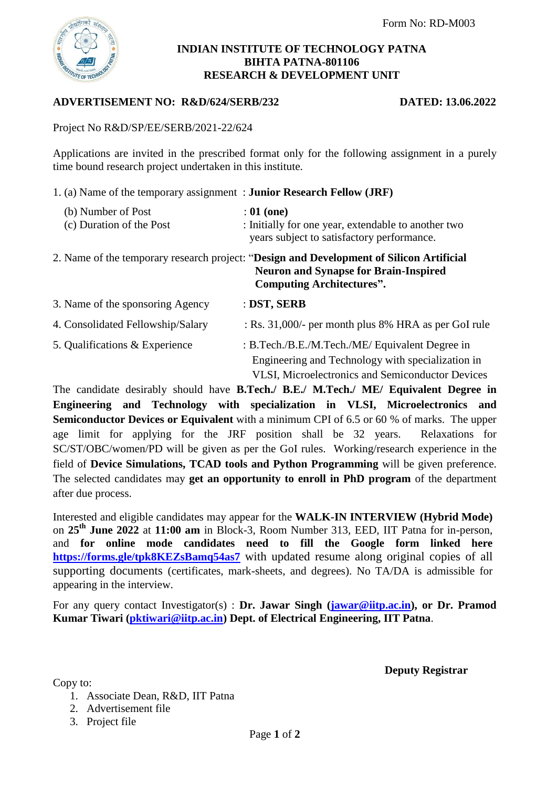

#### **INDIAN INSTITUTE OF TECHNOLOGY PATNA BIHTA PATNA-801106 RESEARCH & DEVELOPMENT UNIT**

## **ADVERTISEMENT NO: R&D/624/SERB/232 DATED: 13.06.2022**

Project No R&D/SP/EE/SERB/2021-22/624

Applications are invited in the prescribed format only for the following assignment in a purely time bound research project undertaken in this institute.

1. (a) Name of the temporary assignment : **Junior Research Fellow (JRF)**

| (b) Number of Post<br>(c) Duration of the Post | $: 01$ (one)<br>: Initially for one year, extendable to another two<br>years subject to satisfactory performance.                                                            |
|------------------------------------------------|------------------------------------------------------------------------------------------------------------------------------------------------------------------------------|
|                                                | 2. Name of the temporary research project: "Design and Development of Silicon Artificial<br><b>Neuron and Synapse for Brain-Inspired</b><br><b>Computing Architectures".</b> |
| 3. Name of the sponsoring Agency               | : DST, SERB                                                                                                                                                                  |
| 4. Consolidated Fellowship/Salary              | : Rs. $31,000/$ - per month plus 8% HRA as per GoI rule                                                                                                                      |
| 5. Qualifications & Experience                 | : B.Tech./B.E./M.Tech./ME/ Equivalent Degree in<br>Engineering and Technology with specialization in<br><b>VLSI.</b> Microelectronics and Semiconductor Devices              |

The candidate desirably should have **B.Tech./ B.E./ M.Tech./ ME/ Equivalent Degree in Engineering and Technology with specialization in VLSI, Microelectronics and Semiconductor Devices or Equivalent** with a minimum CPI of 6.5 or 60 % of marks. The upper age limit for applying for the JRF position shall be 32 years. Relaxations for SC/ST/OBC/women/PD will be given as per the GoI rules. Working/research experience in the field of **Device Simulations, TCAD tools and Python Programming** will be given preference. The selected candidates may **get an opportunity to enroll in PhD program** of the department after due process.

Interested and eligible candidates may appear for the **WALK-IN INTERVIEW (Hybrid Mode)** on **25th June 2022** at **11:00 am** in Block-3, Room Number 313, EED, IIT Patna for in-person, and **for online mode candidates need to fill the Google form linked here <https://forms.gle/tpk8KEZsBamq54as7>** with updated resume along original copies of all supporting documents (certificates, mark-sheets, and degrees). No TA/DA is admissible for appearing in the interview.

For any query contact Investigator(s) : **Dr. Jawar Singh [\(jawar@iitp.ac.in\)](mailto:jawar@iitp.ac.in), or Dr. Pramod Kumar Tiwari [\(pktiwari@iitp.ac.in\)](mailto:pktiwari@iitp.ac.in) Dept. of Electrical Engineering, IIT Patna**.

**Deputy Registrar**

Copy to:

- 1. Associate Dean, R&D, IIT Patna
- 2. Advertisement file
- 3. Project file